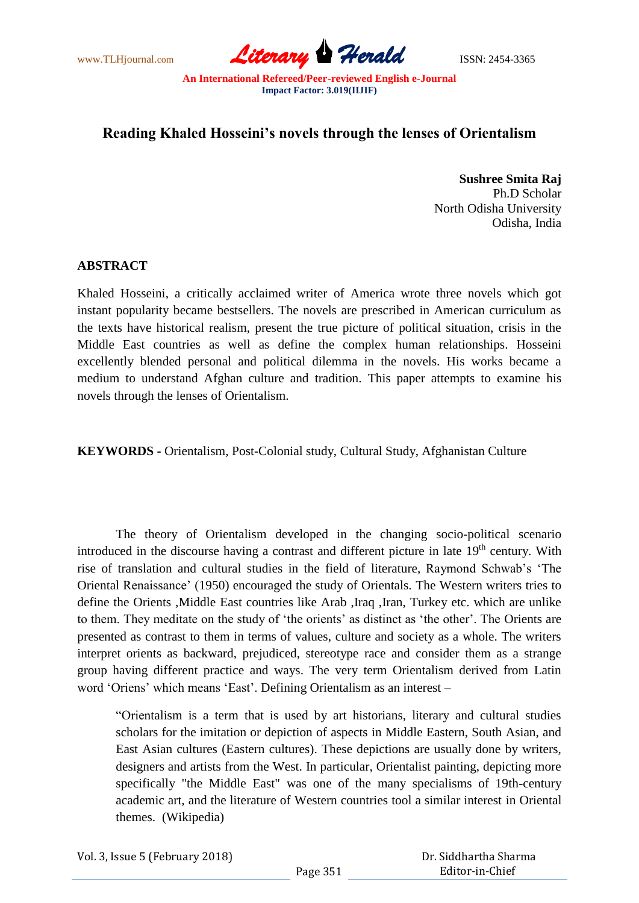www.TLHjournal.com *Literary Herald*ISSN: 2454-3365

## **Reading Khaled Hosseini's novels through the lenses of Orientalism**

**Sushree Smita Raj** Ph.D Scholar North Odisha University Odisha, India

## **ABSTRACT**

Khaled Hosseini, a critically acclaimed writer of America wrote three novels which got instant popularity became bestsellers. The novels are prescribed in American curriculum as the texts have historical realism, present the true picture of political situation, crisis in the Middle East countries as well as define the complex human relationships. Hosseini excellently blended personal and political dilemma in the novels. His works became a medium to understand Afghan culture and tradition. This paper attempts to examine his novels through the lenses of Orientalism.

**KEYWORDS -** Orientalism, Post-Colonial study, Cultural Study, Afghanistan Culture

 The theory of Orientalism developed in the changing socio-political scenario introduced in the discourse having a contrast and different picture in late 19<sup>th</sup> century. With rise of translation and cultural studies in the field of literature, Raymond Schwab's 'The Oriental Renaissance" (1950) encouraged the study of Orientals. The Western writers tries to define the Orients ,Middle East countries like Arab ,Iraq ,Iran, Turkey etc. which are unlike to them. They meditate on the study of "the orients" as distinct as "the other". The Orients are presented as contrast to them in terms of values, culture and society as a whole. The writers interpret orients as backward, prejudiced, stereotype race and consider them as a strange group having different practice and ways. The very term Orientalism derived from Latin word "Oriens" which means "East". Defining Orientalism as an interest –

"Orientalism is a term that is used by art historians, literary and cultural studies scholars for the imitation or depiction of aspects in Middle Eastern, South Asian, and East Asian cultures (Eastern cultures). These depictions are usually done by writers, designers and artists from the West. In particular, Orientalist painting, depicting more specifically "the Middle East" was one of the many specialisms of 19th-century academic art, and the literature of Western countries tool a similar interest in Oriental themes. (Wikipedia)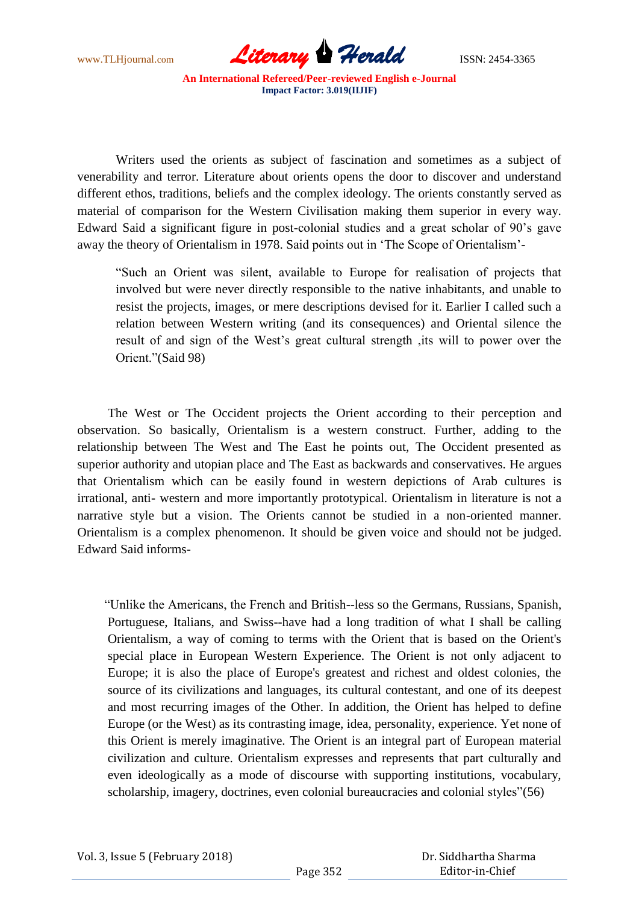

 Writers used the orients as subject of fascination and sometimes as a subject of venerability and terror. Literature about orients opens the door to discover and understand different ethos, traditions, beliefs and the complex ideology. The orients constantly served as material of comparison for the Western Civilisation making them superior in every way. Edward Said a significant figure in post-colonial studies and a great scholar of 90"s gave away the theory of Orientalism in 1978. Said points out in "The Scope of Orientalism"-

"Such an Orient was silent, available to Europe for realisation of projects that involved but were never directly responsible to the native inhabitants, and unable to resist the projects, images, or mere descriptions devised for it. Earlier I called such a relation between Western writing (and its consequences) and Oriental silence the result of and sign of the West"s great cultural strength ,its will to power over the Orient."(Said 98)

The West or The Occident projects the Orient according to their perception and observation. So basically, Orientalism is a western construct. Further, adding to the relationship between The West and The East he points out, The Occident presented as superior authority and utopian place and The East as backwards and conservatives. He argues that Orientalism which can be easily found in western depictions of Arab cultures is irrational, anti- western and more importantly prototypical. Orientalism in literature is not a narrative style but a vision. The Orients cannot be studied in a non-oriented manner. Orientalism is a complex phenomenon. It should be given voice and should not be judged. Edward Said informs-

 "Unlike the Americans, the French and British--less so the Germans, Russians, Spanish, Portuguese, Italians, and Swiss--have had a long tradition of what I shall be calling Orientalism, a way of coming to terms with the Orient that is based on the Orient's special place in European Western Experience. The Orient is not only adjacent to Europe; it is also the place of Europe's greatest and richest and oldest colonies, the source of its civilizations and languages, its cultural contestant, and one of its deepest and most recurring images of the Other. In addition, the Orient has helped to define Europe (or the West) as its contrasting image, idea, personality, experience. Yet none of this Orient is merely imaginative. The Orient is an integral part of European material civilization and culture. Orientalism expresses and represents that part culturally and even ideologically as a mode of discourse with supporting institutions, vocabulary, scholarship, imagery, doctrines, even colonial bureaucracies and colonial styles"(56)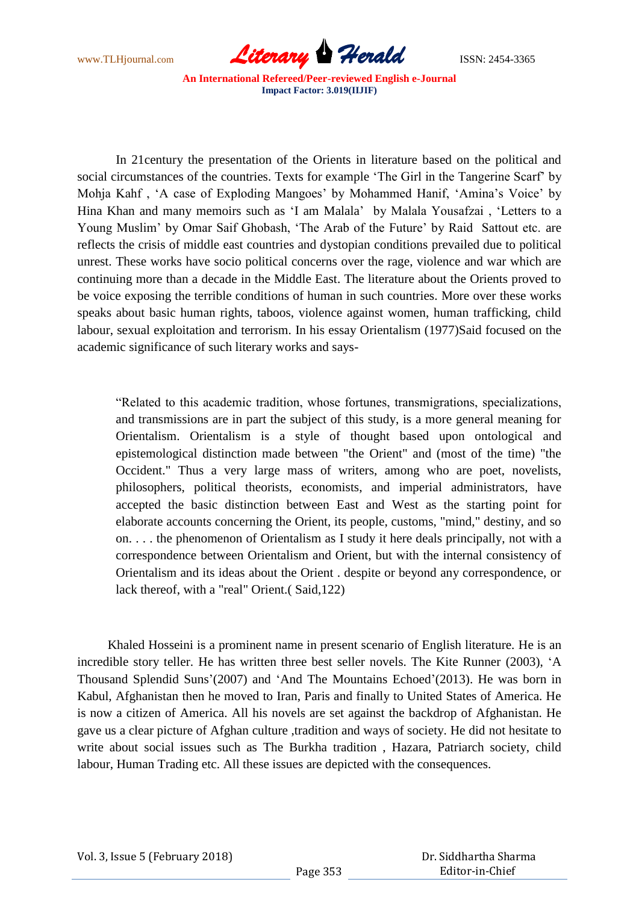

In 21century the presentation of the Orients in literature based on the political and social circumstances of the countries. Texts for example "The Girl in the Tangerine Scarf" by Mohja Kahf , "A case of Exploding Mangoes" by Mohammed Hanif, "Amina"s Voice" by Hina Khan and many memoirs such as "I am Malala" by Malala Yousafzai , "Letters to a Young Muslim" by Omar Saif Ghobash, "The Arab of the Future" by Raid Sattout etc. are reflects the crisis of middle east countries and dystopian conditions prevailed due to political unrest. These works have socio political concerns over the rage, violence and war which are continuing more than a decade in the Middle East. The literature about the Orients proved to be voice exposing the terrible conditions of human in such countries. More over these works speaks about basic human rights, taboos, violence against women, human trafficking, child labour, sexual exploitation and terrorism. In his essay Orientalism (1977)Said focused on the academic significance of such literary works and says-

"Related to this academic tradition, whose fortunes, transmigrations, specializations, and transmissions are in part the subject of this study, is a more general meaning for Orientalism. Orientalism is a style of thought based upon ontological and epistemological distinction made between "the Orient" and (most of the time) "the Occident." Thus a very large mass of writers, among who are poet, novelists, philosophers, political theorists, economists, and imperial administrators, have accepted the basic distinction between East and West as the starting point for elaborate accounts concerning the Orient, its people, customs, "mind," destiny, and so on. . . . the phenomenon of Orientalism as I study it here deals principally, not with a correspondence between Orientalism and Orient, but with the internal consistency of Orientalism and its ideas about the Orient . despite or beyond any correspondence, or lack thereof, with a "real" Orient.( Said,122)

Khaled Hosseini is a prominent name in present scenario of English literature. He is an incredible story teller. He has written three best seller novels. The Kite Runner (2003), "A Thousand Splendid Suns"(2007) and "And The Mountains Echoed"(2013). He was born in Kabul, Afghanistan then he moved to Iran, Paris and finally to United States of America. He is now a citizen of America. All his novels are set against the backdrop of Afghanistan. He gave us a clear picture of Afghan culture ,tradition and ways of society. He did not hesitate to write about social issues such as The Burkha tradition , Hazara, Patriarch society, child labour, Human Trading etc. All these issues are depicted with the consequences.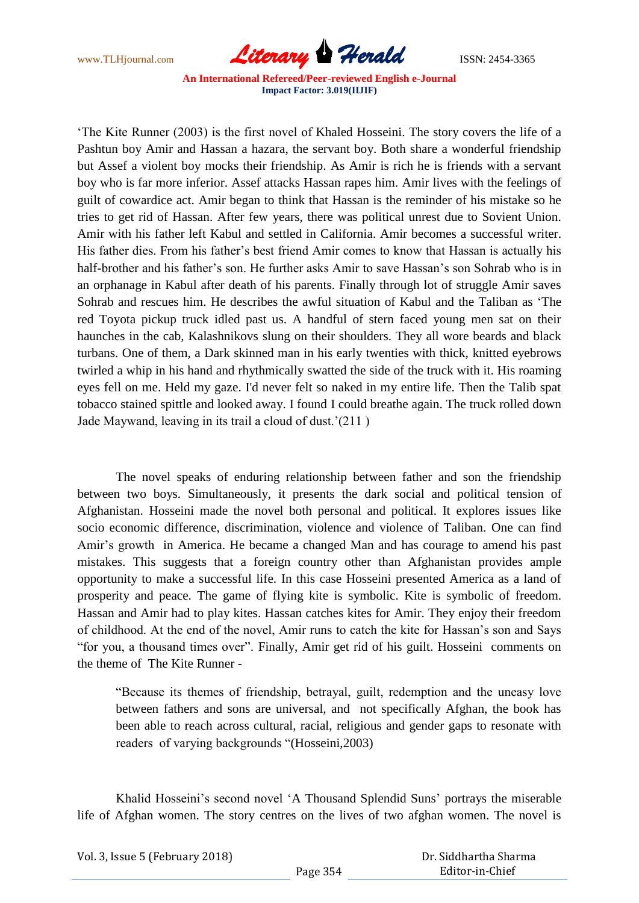

"The Kite Runner (2003) is the first novel of Khaled Hosseini. The story covers the life of a Pashtun boy Amir and Hassan a hazara, the servant boy. Both share a wonderful friendship but Assef a violent boy mocks their friendship. As Amir is rich he is friends with a servant boy who is far more inferior. Assef attacks Hassan rapes him. Amir lives with the feelings of guilt of cowardice act. Amir began to think that Hassan is the reminder of his mistake so he tries to get rid of Hassan. After few years, there was political unrest due to Sovient Union. Amir with his father left Kabul and settled in California. Amir becomes a successful writer. His father dies. From his father"s best friend Amir comes to know that Hassan is actually his half-brother and his father's son. He further asks Amir to save Hassan's son Sohrab who is in an orphanage in Kabul after death of his parents. Finally through lot of struggle Amir saves Sohrab and rescues him. He describes the awful situation of Kabul and the Taliban as "The red Toyota pickup truck idled past us. A handful of stern faced young men sat on their haunches in the cab, Kalashnikovs slung on their shoulders. They all wore beards and black turbans. One of them, a Dark skinned man in his early twenties with thick, knitted eyebrows twirled a whip in his hand and rhythmically swatted the side of the truck with it. His roaming eyes fell on me. Held my gaze. I'd never felt so naked in my entire life. Then the Talib spat tobacco stained spittle and looked away. I found I could breathe again. The truck rolled down Jade Maywand, leaving in its trail a cloud of dust."(211 )

 The novel speaks of enduring relationship between father and son the friendship between two boys. Simultaneously, it presents the dark social and political tension of Afghanistan. Hosseini made the novel both personal and political. It explores issues like socio economic difference, discrimination, violence and violence of Taliban. One can find Amir"s growth in America. He became a changed Man and has courage to amend his past mistakes. This suggests that a foreign country other than Afghanistan provides ample opportunity to make a successful life. In this case Hosseini presented America as a land of prosperity and peace. The game of flying kite is symbolic. Kite is symbolic of freedom. Hassan and Amir had to play kites. Hassan catches kites for Amir. They enjoy their freedom of childhood. At the end of the novel, Amir runs to catch the kite for Hassan"s son and Says "for you, a thousand times over". Finally, Amir get rid of his guilt. Hosseini comments on the theme of The Kite Runner -

"Because its themes of friendship, betrayal, guilt, redemption and the uneasy love between fathers and sons are universal, and not specifically Afghan, the book has been able to reach across cultural, racial, religious and gender gaps to resonate with readers of varying backgrounds "(Hosseini,2003)

Khalid Hosseini's second novel 'A Thousand Splendid Suns' portrays the miserable life of Afghan women. The story centres on the lives of two afghan women. The novel is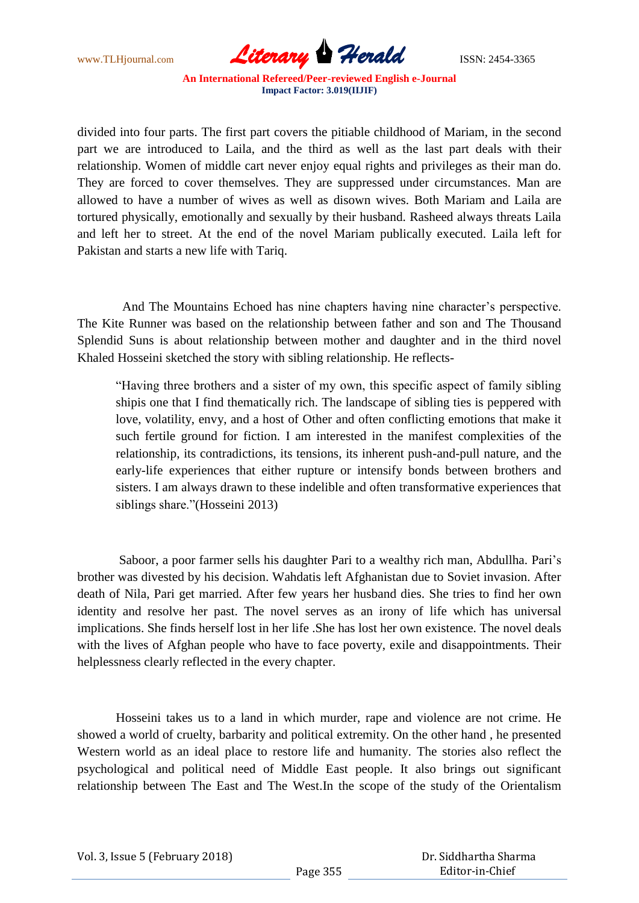

divided into four parts. The first part covers the pitiable childhood of Mariam, in the second part we are introduced to Laila, and the third as well as the last part deals with their relationship. Women of middle cart never enjoy equal rights and privileges as their man do. They are forced to cover themselves. They are suppressed under circumstances. Man are allowed to have a number of wives as well as disown wives. Both Mariam and Laila are tortured physically, emotionally and sexually by their husband. Rasheed always threats Laila and left her to street. At the end of the novel Mariam publically executed. Laila left for Pakistan and starts a new life with Tariq.

And The Mountains Echoed has nine chapters having nine character's perspective. The Kite Runner was based on the relationship between father and son and The Thousand Splendid Suns is about relationship between mother and daughter and in the third novel Khaled Hosseini sketched the story with sibling relationship. He reflects-

"Having three brothers and a sister of my own, this specific aspect of family sibling shipis one that I find thematically rich. The landscape of sibling ties is peppered with love, volatility, envy, and a host of Other and often conflicting emotions that make it such fertile ground for fiction. I am interested in the manifest complexities of the relationship, its contradictions, its tensions, its inherent push-and-pull nature, and the early-life experiences that either rupture or intensify bonds between brothers and sisters. I am always drawn to these indelible and often transformative experiences that siblings share."(Hosseini 2013)

Saboor, a poor farmer sells his daughter Pari to a wealthy rich man, Abdullha. Pari's brother was divested by his decision. Wahdatis left Afghanistan due to Soviet invasion. After death of Nila, Pari get married. After few years her husband dies. She tries to find her own identity and resolve her past. The novel serves as an irony of life which has universal implications. She finds herself lost in her life .She has lost her own existence. The novel deals with the lives of Afghan people who have to face poverty, exile and disappointments. Their helplessness clearly reflected in the every chapter.

 Hosseini takes us to a land in which murder, rape and violence are not crime. He showed a world of cruelty, barbarity and political extremity. On the other hand , he presented Western world as an ideal place to restore life and humanity. The stories also reflect the psychological and political need of Middle East people. It also brings out significant relationship between The East and The West.In the scope of the study of the Orientalism